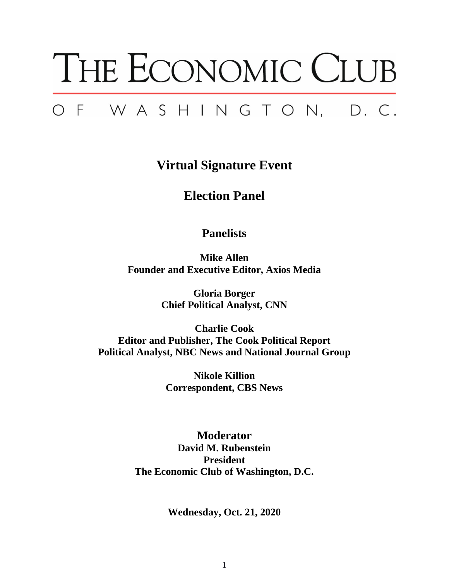# THE ECONOMIC CLUB OF WASHINGTON, D.C.

**Virtual Signature Event**

# **Election Panel**

# **Panelists**

**Mike Allen Founder and Executive Editor, Axios Media**

> **Gloria Borger Chief Political Analyst, CNN**

**Charlie Cook Editor and Publisher, The Cook Political Report Political Analyst, NBC News and National Journal Group**

> **Nikole Killion Correspondent, CBS News**

**Moderator David M. Rubenstein President The Economic Club of Washington, D.C.**

**Wednesday, Oct. 21, 2020**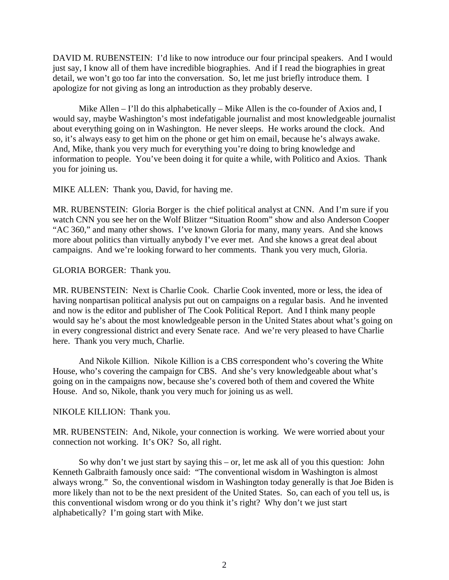DAVID M. RUBENSTEIN: I'd like to now introduce our four principal speakers. And I would just say, I know all of them have incredible biographies. And if I read the biographies in great detail, we won't go too far into the conversation. So, let me just briefly introduce them. I apologize for not giving as long an introduction as they probably deserve.

Mike Allen – I'll do this alphabetically – Mike Allen is the co-founder of Axios and, I would say, maybe Washington's most indefatigable journalist and most knowledgeable journalist about everything going on in Washington. He never sleeps. He works around the clock. And so, it's always easy to get him on the phone or get him on email, because he's always awake. And, Mike, thank you very much for everything you're doing to bring knowledge and information to people. You've been doing it for quite a while, with Politico and Axios. Thank you for joining us.

MIKE ALLEN: Thank you, David, for having me.

MR. RUBENSTEIN: Gloria Borger is the chief political analyst at CNN. And I'm sure if you watch CNN you see her on the Wolf Blitzer "Situation Room" show and also Anderson Cooper "AC 360," and many other shows. I've known Gloria for many, many years. And she knows more about politics than virtually anybody I've ever met. And she knows a great deal about campaigns. And we're looking forward to her comments. Thank you very much, Gloria.

#### GLORIA BORGER: Thank you.

MR. RUBENSTEIN: Next is Charlie Cook. Charlie Cook invented, more or less, the idea of having nonpartisan political analysis put out on campaigns on a regular basis. And he invented and now is the editor and publisher of The Cook Political Report. And I think many people would say he's about the most knowledgeable person in the United States about what's going on in every congressional district and every Senate race. And we're very pleased to have Charlie here. Thank you very much, Charlie.

And Nikole Killion. Nikole Killion is a CBS correspondent who's covering the White House, who's covering the campaign for CBS. And she's very knowledgeable about what's going on in the campaigns now, because she's covered both of them and covered the White House. And so, Nikole, thank you very much for joining us as well.

#### NIKOLE KILLION: Thank you.

MR. RUBENSTEIN: And, Nikole, your connection is working. We were worried about your connection not working. It's OK? So, all right.

So why don't we just start by saying this – or, let me ask all of you this question: John Kenneth Galbraith famously once said: "The conventional wisdom in Washington is almost always wrong." So, the conventional wisdom in Washington today generally is that Joe Biden is more likely than not to be the next president of the United States. So, can each of you tell us, is this conventional wisdom wrong or do you think it's right? Why don't we just start alphabetically? I'm going start with Mike.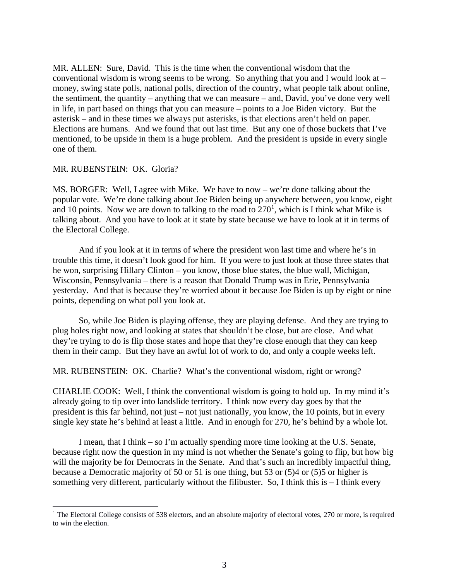MR. ALLEN: Sure, David. This is the time when the conventional wisdom that the conventional wisdom is wrong seems to be wrong. So anything that you and I would look at  $$ money, swing state polls, national polls, direction of the country, what people talk about online, the sentiment, the quantity – anything that we can measure – and, David, you've done very well in life, in part based on things that you can measure – points to a Joe Biden victory. But the asterisk – and in these times we always put asterisks, is that elections aren't held on paper. Elections are humans. And we found that out last time. But any one of those buckets that I've mentioned, to be upside in them is a huge problem. And the president is upside in every single one of them.

#### MR. RUBENSTEIN: OK. Gloria?

MS. BORGER: Well, I agree with Mike. We have to now – we're done talking about the popular vote. We're done talking about Joe Biden being up anywhere between, you know, eight and [1](#page-2-0)0 points. Now we are down to talking to the road to  $270<sup>1</sup>$ , which is I think what Mike is talking about. And you have to look at it state by state because we have to look at it in terms of the Electoral College.

And if you look at it in terms of where the president won last time and where he's in trouble this time, it doesn't look good for him. If you were to just look at those three states that he won, surprising Hillary Clinton – you know, those blue states, the blue wall, Michigan, Wisconsin, Pennsylvania – there is a reason that Donald Trump was in Erie, Pennsylvania yesterday. And that is because they're worried about it because Joe Biden is up by eight or nine points, depending on what poll you look at.

So, while Joe Biden is playing offense, they are playing defense. And they are trying to plug holes right now, and looking at states that shouldn't be close, but are close. And what they're trying to do is flip those states and hope that they're close enough that they can keep them in their camp. But they have an awful lot of work to do, and only a couple weeks left.

#### MR. RUBENSTEIN: OK. Charlie? What's the conventional wisdom, right or wrong?

CHARLIE COOK: Well, I think the conventional wisdom is going to hold up. In my mind it's already going to tip over into landslide territory. I think now every day goes by that the president is this far behind, not just – not just nationally, you know, the 10 points, but in every single key state he's behind at least a little. And in enough for 270, he's behind by a whole lot.

I mean, that I think – so I'm actually spending more time looking at the U.S. Senate, because right now the question in my mind is not whether the Senate's going to flip, but how big will the majority be for Democrats in the Senate. And that's such an incredibly impactful thing, because a Democratic majority of 50 or 51 is one thing, but 53 or (5)4 or (5)5 or higher is something very different, particularly without the filibuster. So, I think this is – I think every

<span id="page-2-0"></span><sup>&</sup>lt;sup>1</sup> The Electoral College consists of 538 electors, and an absolute majority of electoral votes, 270 or more, is required to win the election.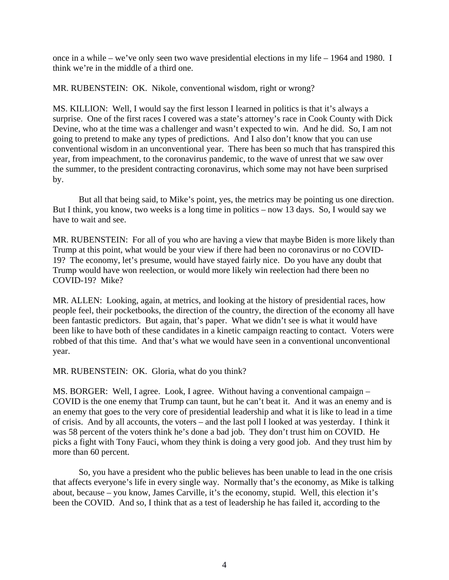once in a while – we've only seen two wave presidential elections in my life – 1964 and 1980. I think we're in the middle of a third one.

MR. RUBENSTEIN: OK. Nikole, conventional wisdom, right or wrong?

MS. KILLION: Well, I would say the first lesson I learned in politics is that it's always a surprise. One of the first races I covered was a state's attorney's race in Cook County with Dick Devine, who at the time was a challenger and wasn't expected to win. And he did. So, I am not going to pretend to make any types of predictions. And I also don't know that you can use conventional wisdom in an unconventional year. There has been so much that has transpired this year, from impeachment, to the coronavirus pandemic, to the wave of unrest that we saw over the summer, to the president contracting coronavirus, which some may not have been surprised by.

But all that being said, to Mike's point, yes, the metrics may be pointing us one direction. But I think, you know, two weeks is a long time in politics – now 13 days. So, I would say we have to wait and see.

MR. RUBENSTEIN: For all of you who are having a view that maybe Biden is more likely than Trump at this point, what would be your view if there had been no coronavirus or no COVID-19? The economy, let's presume, would have stayed fairly nice. Do you have any doubt that Trump would have won reelection, or would more likely win reelection had there been no COVID-19? Mike?

MR. ALLEN: Looking, again, at metrics, and looking at the history of presidential races, how people feel, their pocketbooks, the direction of the country, the direction of the economy all have been fantastic predictors. But again, that's paper. What we didn't see is what it would have been like to have both of these candidates in a kinetic campaign reacting to contact. Voters were robbed of that this time. And that's what we would have seen in a conventional unconventional year.

MR. RUBENSTEIN: OK. Gloria, what do you think?

MS. BORGER: Well, I agree. Look, I agree. Without having a conventional campaign – COVID is the one enemy that Trump can taunt, but he can't beat it. And it was an enemy and is an enemy that goes to the very core of presidential leadership and what it is like to lead in a time of crisis. And by all accounts, the voters – and the last poll I looked at was yesterday. I think it was 58 percent of the voters think he's done a bad job. They don't trust him on COVID. He picks a fight with Tony Fauci, whom they think is doing a very good job. And they trust him by more than 60 percent.

So, you have a president who the public believes has been unable to lead in the one crisis that affects everyone's life in every single way. Normally that's the economy, as Mike is talking about, because – you know, James Carville, it's the economy, stupid. Well, this election it's been the COVID. And so, I think that as a test of leadership he has failed it, according to the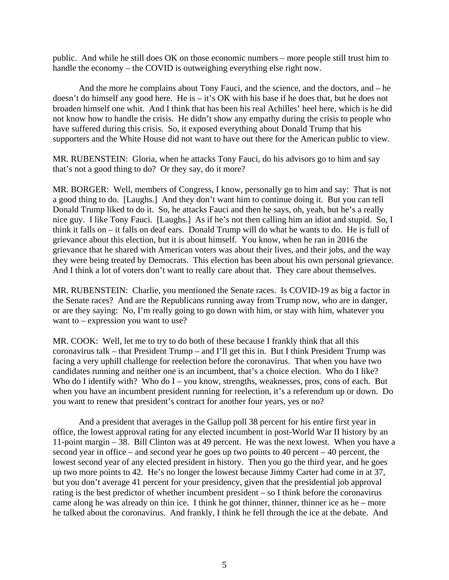public. And while he still does OK on those economic numbers – more people still trust him to handle the economy – the COVID is outweighing everything else right now.

And the more he complains about Tony Fauci, and the science, and the doctors, and – he doesn't do himself any good here. He is – it's OK with his base if he does that, but he does not broaden himself one whit. And I think that has been his real Achilles' heel here, which is he did not know how to handle the crisis. He didn't show any empathy during the crisis to people who have suffered during this crisis. So, it exposed everything about Donald Trump that his supporters and the White House did not want to have out there for the American public to view.

MR. RUBENSTEIN: Gloria, when he attacks Tony Fauci, do his advisors go to him and say that's not a good thing to do? Or they say, do it more?

MR. BORGER: Well, members of Congress, I know, personally go to him and say: That is not a good thing to do. [Laughs.] And they don't want him to continue doing it. But you can tell Donald Trump liked to do it. So, he attacks Fauci and then he says, oh, yeah, but he's a really nice guy. I like Tony Fauci. [Laughs.] As if he's not then calling him an idiot and stupid. So, I think it falls on – it falls on deaf ears. Donald Trump will do what he wants to do. He is full of grievance about this election, but it is about himself. You know, when he ran in 2016 the grievance that he shared with American voters was about their lives, and their jobs, and the way they were being treated by Democrats. This election has been about his own personal grievance. And I think a lot of voters don't want to really care about that. They care about themselves.

MR. RUBENSTEIN: Charlie, you mentioned the Senate races. Is COVID-19 as big a factor in the Senate races? And are the Republicans running away from Trump now, who are in danger, or are they saying: No, I'm really going to go down with him, or stay with him, whatever you want to – expression you want to use?

MR. COOK: Well, let me to try to do both of these because I frankly think that all this coronavirus talk – that President Trump – and I'll get this in. But I think President Trump was facing a very uphill challenge for reelection before the coronavirus. That when you have two candidates running and neither one is an incumbent, that's a choice election. Who do I like? Who do I identify with? Who do I – you know, strengths, weaknesses, pros, cons of each. But when you have an incumbent president running for reelection, it's a referendum up or down. Do you want to renew that president's contract for another four years, yes or no?

And a president that averages in the Gallup poll 38 percent for his entire first year in office, the lowest approval rating for any elected incumbent in post-World War II history by an 11-point margin – 38. Bill Clinton was at 49 percent. He was the next lowest. When you have a second year in office – and second year he goes up two points to 40 percent – 40 percent, the lowest second year of any elected president in history. Then you go the third year, and he goes up two more points to 42. He's no longer the lowest because Jimmy Carter had come in at 37, but you don't average 41 percent for your presidency, given that the presidential job approval rating is the best predictor of whether incumbent president – so I think before the coronavirus came along he was already on thin ice. I think he got thinner, thinner, thinner ice as he – more he talked about the coronavirus. And frankly, I think he fell through the ice at the debate. And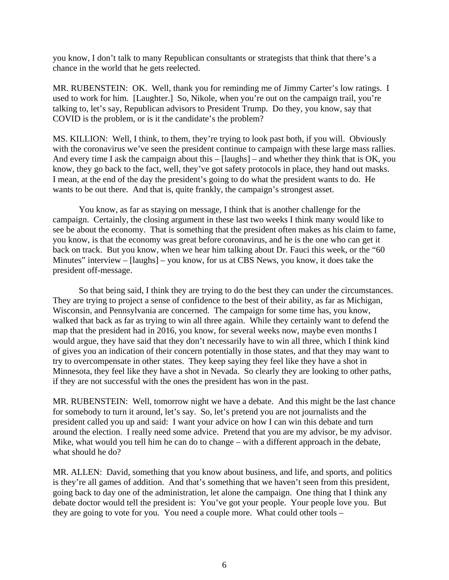you know, I don't talk to many Republican consultants or strategists that think that there's a chance in the world that he gets reelected.

MR. RUBENSTEIN: OK. Well, thank you for reminding me of Jimmy Carter's low ratings. I used to work for him. [Laughter.] So, Nikole, when you're out on the campaign trail, you're talking to, let's say, Republican advisors to President Trump. Do they, you know, say that COVID is the problem, or is it the candidate's the problem?

MS. KILLION: Well, I think, to them, they're trying to look past both, if you will. Obviously with the coronavirus we've seen the president continue to campaign with these large mass rallies. And every time I ask the campaign about this – [laughs] – and whether they think that is OK, you know, they go back to the fact, well, they've got safety protocols in place, they hand out masks. I mean, at the end of the day the president's going to do what the president wants to do. He wants to be out there. And that is, quite frankly, the campaign's strongest asset.

You know, as far as staying on message, I think that is another challenge for the campaign. Certainly, the closing argument in these last two weeks I think many would like to see be about the economy. That is something that the president often makes as his claim to fame, you know, is that the economy was great before coronavirus, and he is the one who can get it back on track. But you know, when we hear him talking about Dr. Fauci this week, or the "60 Minutes" interview – [laughs] – you know, for us at CBS News, you know, it does take the president off-message.

So that being said, I think they are trying to do the best they can under the circumstances. They are trying to project a sense of confidence to the best of their ability, as far as Michigan, Wisconsin, and Pennsylvania are concerned. The campaign for some time has, you know, walked that back as far as trying to win all three again. While they certainly want to defend the map that the president had in 2016, you know, for several weeks now, maybe even months I would argue, they have said that they don't necessarily have to win all three, which I think kind of gives you an indication of their concern potentially in those states, and that they may want to try to overcompensate in other states. They keep saying they feel like they have a shot in Minnesota, they feel like they have a shot in Nevada. So clearly they are looking to other paths, if they are not successful with the ones the president has won in the past.

MR. RUBENSTEIN: Well, tomorrow night we have a debate. And this might be the last chance for somebody to turn it around, let's say. So, let's pretend you are not journalists and the president called you up and said: I want your advice on how I can win this debate and turn around the election. I really need some advice. Pretend that you are my advisor, be my advisor. Mike, what would you tell him he can do to change – with a different approach in the debate, what should he do?

MR. ALLEN: David, something that you know about business, and life, and sports, and politics is they're all games of addition. And that's something that we haven't seen from this president, going back to day one of the administration, let alone the campaign. One thing that I think any debate doctor would tell the president is: You've got your people. Your people love you. But they are going to vote for you. You need a couple more. What could other tools –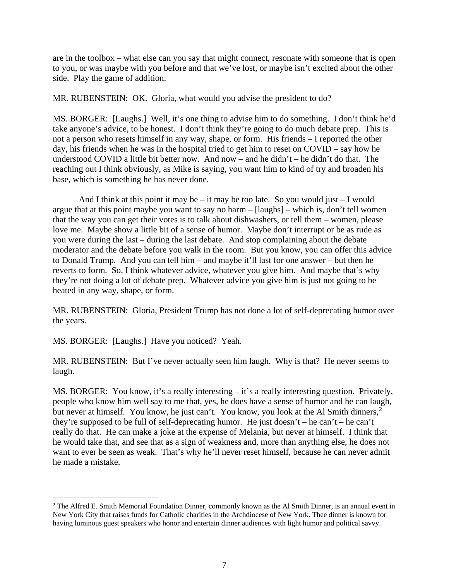are in the toolbox – what else can you say that might connect, resonate with someone that is open to you, or was maybe with you before and that we've lost, or maybe isn't excited about the other side. Play the game of addition.

MR. RUBENSTEIN: OK. Gloria, what would you advise the president to do?

MS. BORGER: [Laughs.] Well, it's one thing to advise him to do something. I don't think he'd take anyone's advice, to be honest. I don't think they're going to do much debate prep. This is not a person who resets himself in any way, shape, or form. His friends – I reported the other day, his friends when he was in the hospital tried to get him to reset on COVID – say how he understood COVID a little bit better now. And now – and he didn't – he didn't do that. The reaching out I think obviously, as Mike is saying, you want him to kind of try and broaden his base, which is something he has never done.

And I think at this point it may be – it may be too late. So you would just – I would argue that at this point maybe you want to say no harm – [laughs] – which is, don't tell women that the way you can get their votes is to talk about dishwashers, or tell them – women, please love me. Maybe show a little bit of a sense of humor. Maybe don't interrupt or be as rude as you were during the last – during the last debate. And stop complaining about the debate moderator and the debate before you walk in the room. But you know, you can offer this advice to Donald Trump. And you can tell him – and maybe it'll last for one answer – but then he reverts to form. So, I think whatever advice, whatever you give him. And maybe that's why they're not doing a lot of debate prep. Whatever advice you give him is just not going to be heated in any way, shape, or form.

MR. RUBENSTEIN: Gloria, President Trump has not done a lot of self-deprecating humor over the years.

MS. BORGER: [Laughs.] Have you noticed? Yeah.

MR. RUBENSTEIN: But I've never actually seen him laugh. Why is that? He never seems to laugh.

MS. BORGER: You know, it's a really interesting – it's a really interesting question. Privately, people who know him well say to me that, yes, he does have a sense of humor and he can laugh, but never at himself. You know, he just can't. You know, you look at the Al Smith dinners,<sup>[2](#page-6-0)</sup> they're supposed to be full of self-deprecating humor. He just doesn't – he can't – he can't really do that. He can make a joke at the expense of Melania, but never at himself. I think that he would take that, and see that as a sign of weakness and, more than anything else, he does not want to ever be seen as weak. That's why he'll never reset himself, because he can never admit he made a mistake.

<span id="page-6-0"></span><sup>&</sup>lt;sup>2</sup> The Alfred E. Smith Memorial Foundation Dinner, commonly known as the Al Smith Dinner, is an annual event in New York City that raises funds for Catholic charities in the Archdiocese of New York. Thee dinner is known for having luminous guest speakers who honor and entertain dinner audiences with light humor and political savvy.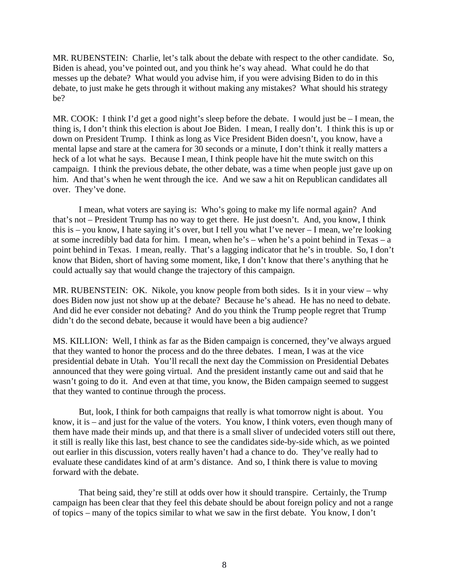MR. RUBENSTEIN: Charlie, let's talk about the debate with respect to the other candidate. So, Biden is ahead, you've pointed out, and you think he's way ahead. What could he do that messes up the debate? What would you advise him, if you were advising Biden to do in this debate, to just make he gets through it without making any mistakes? What should his strategy be?

MR. COOK: I think I'd get a good night's sleep before the debate. I would just be – I mean, the thing is, I don't think this election is about Joe Biden. I mean, I really don't. I think this is up or down on President Trump. I think as long as Vice President Biden doesn't, you know, have a mental lapse and stare at the camera for 30 seconds or a minute, I don't think it really matters a heck of a lot what he says. Because I mean, I think people have hit the mute switch on this campaign. I think the previous debate, the other debate, was a time when people just gave up on him. And that's when he went through the ice. And we saw a hit on Republican candidates all over. They've done.

I mean, what voters are saying is: Who's going to make my life normal again? And that's not – President Trump has no way to get there. He just doesn't. And, you know, I think this is – you know, I hate saying it's over, but I tell you what I've never – I mean, we're looking at some incredibly bad data for him. I mean, when he's – when he's a point behind in Texas – a point behind in Texas. I mean, really. That's a lagging indicator that he's in trouble. So, I don't know that Biden, short of having some moment, like, I don't know that there's anything that he could actually say that would change the trajectory of this campaign.

MR. RUBENSTEIN: OK. Nikole, you know people from both sides. Is it in your view – why does Biden now just not show up at the debate? Because he's ahead. He has no need to debate. And did he ever consider not debating? And do you think the Trump people regret that Trump didn't do the second debate, because it would have been a big audience?

MS. KILLION: Well, I think as far as the Biden campaign is concerned, they've always argued that they wanted to honor the process and do the three debates. I mean, I was at the vice presidential debate in Utah. You'll recall the next day the Commission on Presidential Debates announced that they were going virtual. And the president instantly came out and said that he wasn't going to do it. And even at that time, you know, the Biden campaign seemed to suggest that they wanted to continue through the process.

But, look, I think for both campaigns that really is what tomorrow night is about. You know, it is – and just for the value of the voters. You know, I think voters, even though many of them have made their minds up, and that there is a small sliver of undecided voters still out there, it still is really like this last, best chance to see the candidates side-by-side which, as we pointed out earlier in this discussion, voters really haven't had a chance to do. They've really had to evaluate these candidates kind of at arm's distance. And so, I think there is value to moving forward with the debate.

That being said, they're still at odds over how it should transpire. Certainly, the Trump campaign has been clear that they feel this debate should be about foreign policy and not a range of topics – many of the topics similar to what we saw in the first debate. You know, I don't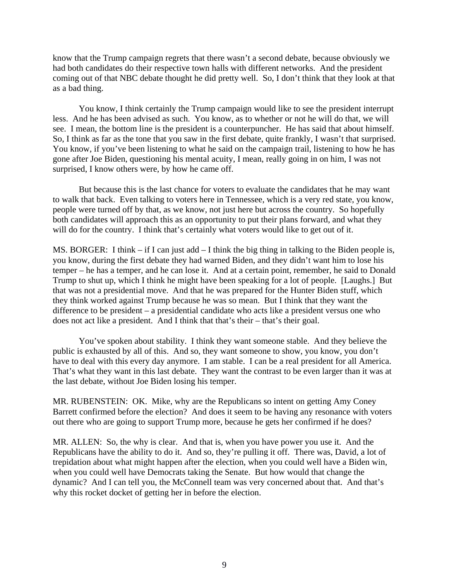know that the Trump campaign regrets that there wasn't a second debate, because obviously we had both candidates do their respective town halls with different networks. And the president coming out of that NBC debate thought he did pretty well. So, I don't think that they look at that as a bad thing.

You know, I think certainly the Trump campaign would like to see the president interrupt less. And he has been advised as such. You know, as to whether or not he will do that, we will see. I mean, the bottom line is the president is a counterpuncher. He has said that about himself. So, I think as far as the tone that you saw in the first debate, quite frankly, I wasn't that surprised. You know, if you've been listening to what he said on the campaign trail, listening to how he has gone after Joe Biden, questioning his mental acuity, I mean, really going in on him, I was not surprised, I know others were, by how he came off.

But because this is the last chance for voters to evaluate the candidates that he may want to walk that back. Even talking to voters here in Tennessee, which is a very red state, you know, people were turned off by that, as we know, not just here but across the country. So hopefully both candidates will approach this as an opportunity to put their plans forward, and what they will do for the country. I think that's certainly what voters would like to get out of it.

MS. BORGER: I think – if I can just add – I think the big thing in talking to the Biden people is, you know, during the first debate they had warned Biden, and they didn't want him to lose his temper – he has a temper, and he can lose it. And at a certain point, remember, he said to Donald Trump to shut up, which I think he might have been speaking for a lot of people. [Laughs.] But that was not a presidential move. And that he was prepared for the Hunter Biden stuff, which they think worked against Trump because he was so mean. But I think that they want the difference to be president – a presidential candidate who acts like a president versus one who does not act like a president. And I think that that's their – that's their goal.

You've spoken about stability. I think they want someone stable. And they believe the public is exhausted by all of this. And so, they want someone to show, you know, you don't have to deal with this every day anymore. I am stable. I can be a real president for all America. That's what they want in this last debate. They want the contrast to be even larger than it was at the last debate, without Joe Biden losing his temper.

MR. RUBENSTEIN: OK. Mike, why are the Republicans so intent on getting Amy Coney Barrett confirmed before the election? And does it seem to be having any resonance with voters out there who are going to support Trump more, because he gets her confirmed if he does?

MR. ALLEN: So, the why is clear. And that is, when you have power you use it. And the Republicans have the ability to do it. And so, they're pulling it off. There was, David, a lot of trepidation about what might happen after the election, when you could well have a Biden win, when you could well have Democrats taking the Senate. But how would that change the dynamic? And I can tell you, the McConnell team was very concerned about that. And that's why this rocket docket of getting her in before the election.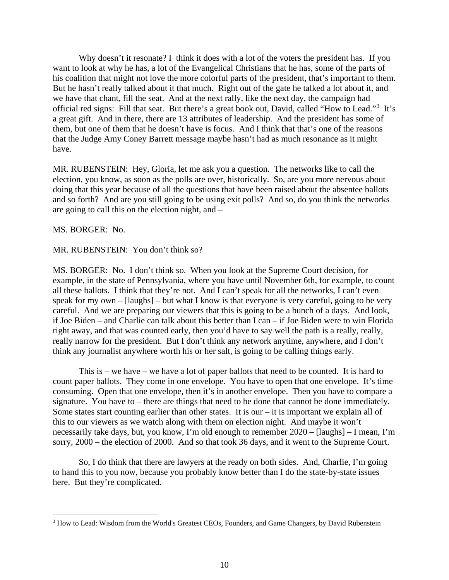Why doesn't it resonate? I think it does with a lot of the voters the president has. If you want to look at why he has, a lot of the Evangelical Christians that he has, some of the parts of his coalition that might not love the more colorful parts of the president, that's important to them. But he hasn't really talked about it that much. Right out of the gate he talked a lot about it, and we have that chant, fill the seat. And at the next rally, like the next day, the campaign had official red signs: Fill that seat. But there's a great book out, David, called "How to Lead."<sup>[3](#page-9-0)</sup> It's a great gift. And in there, there are 13 attributes of leadership. And the president has some of them, but one of them that he doesn't have is focus. And I think that that's one of the reasons that the Judge Amy Coney Barrett message maybe hasn't had as much resonance as it might have.

MR. RUBENSTEIN: Hey, Gloria, let me ask you a question. The networks like to call the election, you know, as soon as the polls are over, historically. So, are you more nervous about doing that this year because of all the questions that have been raised about the absentee ballots and so forth? And are you still going to be using exit polls? And so, do you think the networks are going to call this on the election night, and –

MS. BORGER: No.

#### MR. RUBENSTEIN: You don't think so?

MS. BORGER: No. I don't think so. When you look at the Supreme Court decision, for example, in the state of Pennsylvania, where you have until November 6th, for example, to count all these ballots. I think that they're not. And I can't speak for all the networks, I can't even speak for my own – [laughs] – but what I know is that everyone is very careful, going to be very careful. And we are preparing our viewers that this is going to be a bunch of a days. And look, if Joe Biden – and Charlie can talk about this better than I can – if Joe Biden were to win Florida right away, and that was counted early, then you'd have to say well the path is a really, really, really narrow for the president. But I don't think any network anytime, anywhere, and I don't think any journalist anywhere worth his or her salt, is going to be calling things early.

This is – we have – we have a lot of paper ballots that need to be counted. It is hard to count paper ballots. They come in one envelope. You have to open that one envelope. It's time consuming. Open that one envelope, then it's in another envelope. Then you have to compare a signature. You have to – there are things that need to be done that cannot be done immediately. Some states start counting earlier than other states. It is our  $-$  it is important we explain all of this to our viewers as we watch along with them on election night. And maybe it won't necessarily take days, but, you know, I'm old enough to remember 2020 – [laughs] – I mean, I'm sorry, 2000 – the election of 2000. And so that took 36 days, and it went to the Supreme Court.

So, I do think that there are lawyers at the ready on both sides. And, Charlie, I'm going to hand this to you now, because you probably know better than I do the state-by-state issues here. But they're complicated.

<span id="page-9-0"></span> <sup>3</sup> How to Lead: Wisdom from the World's Greatest CEOs, Founders, and Game Changers, by David Rubenstein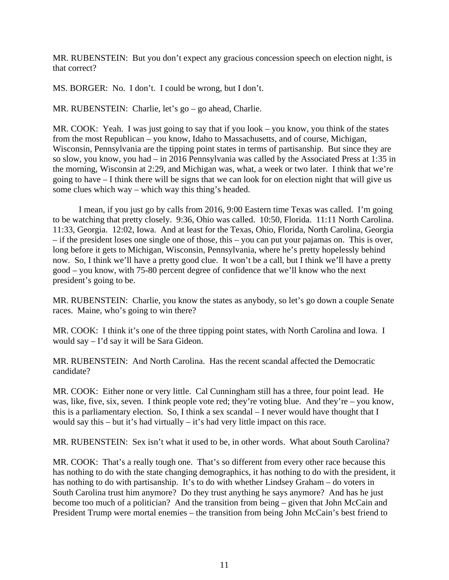MR. RUBENSTEIN: But you don't expect any gracious concession speech on election night, is that correct?

MS. BORGER: No. I don't. I could be wrong, but I don't.

MR. RUBENSTEIN: Charlie, let's go – go ahead, Charlie.

MR. COOK: Yeah. I was just going to say that if you look – you know, you think of the states from the most Republican – you know, Idaho to Massachusetts, and of course, Michigan, Wisconsin, Pennsylvania are the tipping point states in terms of partisanship. But since they are so slow, you know, you had – in 2016 Pennsylvania was called by the Associated Press at 1:35 in the morning, Wisconsin at 2:29, and Michigan was, what, a week or two later. I think that we're going to have – I think there will be signs that we can look for on election night that will give us some clues which way – which way this thing's headed.

I mean, if you just go by calls from 2016, 9:00 Eastern time Texas was called. I'm going to be watching that pretty closely. 9:36, Ohio was called. 10:50, Florida. 11:11 North Carolina. 11:33, Georgia. 12:02, Iowa. And at least for the Texas, Ohio, Florida, North Carolina, Georgia – if the president loses one single one of those, this – you can put your pajamas on. This is over, long before it gets to Michigan, Wisconsin, Pennsylvania, where he's pretty hopelessly behind now. So, I think we'll have a pretty good clue. It won't be a call, but I think we'll have a pretty good – you know, with 75-80 percent degree of confidence that we'll know who the next president's going to be.

MR. RUBENSTEIN: Charlie, you know the states as anybody, so let's go down a couple Senate races. Maine, who's going to win there?

MR. COOK: I think it's one of the three tipping point states, with North Carolina and Iowa. I would say – I'd say it will be Sara Gideon.

MR. RUBENSTEIN: And North Carolina. Has the recent scandal affected the Democratic candidate?

MR. COOK: Either none or very little. Cal Cunningham still has a three, four point lead. He was, like, five, six, seven. I think people vote red; they're voting blue. And they're – you know, this is a parliamentary election. So, I think a sex scandal – I never would have thought that I would say this – but it's had virtually – it's had very little impact on this race.

MR. RUBENSTEIN: Sex isn't what it used to be, in other words. What about South Carolina?

MR. COOK: That's a really tough one. That's so different from every other race because this has nothing to do with the state changing demographics, it has nothing to do with the president, it has nothing to do with partisanship. It's to do with whether Lindsey Graham – do voters in South Carolina trust him anymore? Do they trust anything he says anymore? And has he just become too much of a politician? And the transition from being – given that John McCain and President Trump were mortal enemies – the transition from being John McCain's best friend to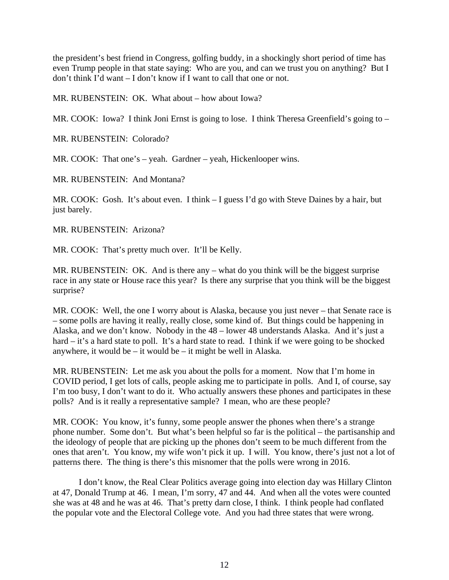the president's best friend in Congress, golfing buddy, in a shockingly short period of time has even Trump people in that state saying: Who are you, and can we trust you on anything? But I don't think I'd want – I don't know if I want to call that one or not.

MR. RUBENSTEIN: OK. What about – how about Iowa?

MR. COOK: Iowa? I think Joni Ernst is going to lose. I think Theresa Greenfield's going to –

MR. RUBENSTEIN: Colorado?

MR. COOK: That one's – yeah. Gardner – yeah, Hickenlooper wins.

MR. RUBENSTEIN: And Montana?

MR. COOK: Gosh. It's about even. I think – I guess I'd go with Steve Daines by a hair, but just barely.

MR. RUBENSTEIN: Arizona?

MR. COOK: That's pretty much over. It'll be Kelly.

MR. RUBENSTEIN: OK. And is there any – what do you think will be the biggest surprise race in any state or House race this year? Is there any surprise that you think will be the biggest surprise?

MR. COOK: Well, the one I worry about is Alaska, because you just never – that Senate race is – some polls are having it really, really close, some kind of. But things could be happening in Alaska, and we don't know. Nobody in the 48 – lower 48 understands Alaska. And it's just a hard – it's a hard state to poll. It's a hard state to read. I think if we were going to be shocked anywhere, it would be  $-$  it would be  $-$  it might be well in Alaska.

MR. RUBENSTEIN: Let me ask you about the polls for a moment. Now that I'm home in COVID period, I get lots of calls, people asking me to participate in polls. And I, of course, say I'm too busy, I don't want to do it. Who actually answers these phones and participates in these polls? And is it really a representative sample? I mean, who are these people?

MR. COOK: You know, it's funny, some people answer the phones when there's a strange phone number. Some don't. But what's been helpful so far is the political – the partisanship and the ideology of people that are picking up the phones don't seem to be much different from the ones that aren't. You know, my wife won't pick it up. I will. You know, there's just not a lot of patterns there. The thing is there's this misnomer that the polls were wrong in 2016.

I don't know, the Real Clear Politics average going into election day was Hillary Clinton at 47, Donald Trump at 46. I mean, I'm sorry, 47 and 44. And when all the votes were counted she was at 48 and he was at 46. That's pretty darn close, I think. I think people had conflated the popular vote and the Electoral College vote. And you had three states that were wrong.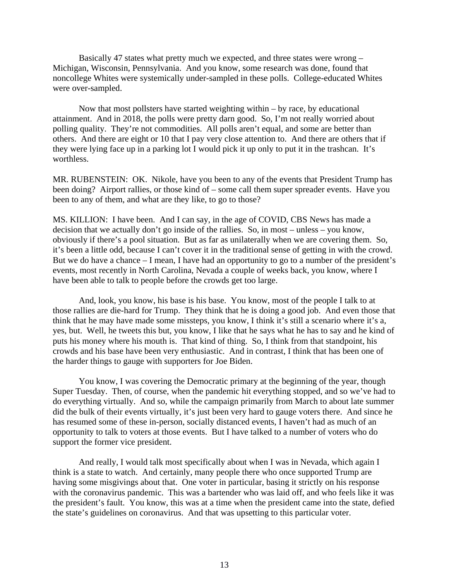Basically 47 states what pretty much we expected, and three states were wrong – Michigan, Wisconsin, Pennsylvania. And you know, some research was done, found that noncollege Whites were systemically under-sampled in these polls. College-educated Whites were over-sampled.

Now that most pollsters have started weighting within – by race, by educational attainment. And in 2018, the polls were pretty darn good. So, I'm not really worried about polling quality. They're not commodities. All polls aren't equal, and some are better than others. And there are eight or 10 that I pay very close attention to. And there are others that if they were lying face up in a parking lot I would pick it up only to put it in the trashcan. It's worthless.

MR. RUBENSTEIN: OK. Nikole, have you been to any of the events that President Trump has been doing? Airport rallies, or those kind of – some call them super spreader events. Have you been to any of them, and what are they like, to go to those?

MS. KILLION: I have been. And I can say, in the age of COVID, CBS News has made a decision that we actually don't go inside of the rallies. So, in most – unless – you know, obviously if there's a pool situation. But as far as unilaterally when we are covering them. So, it's been a little odd, because I can't cover it in the traditional sense of getting in with the crowd. But we do have a chance – I mean, I have had an opportunity to go to a number of the president's events, most recently in North Carolina, Nevada a couple of weeks back, you know, where I have been able to talk to people before the crowds get too large.

And, look, you know, his base is his base. You know, most of the people I talk to at those rallies are die-hard for Trump. They think that he is doing a good job. And even those that think that he may have made some missteps, you know, I think it's still a scenario where it's a, yes, but. Well, he tweets this but, you know, I like that he says what he has to say and he kind of puts his money where his mouth is. That kind of thing. So, I think from that standpoint, his crowds and his base have been very enthusiastic. And in contrast, I think that has been one of the harder things to gauge with supporters for Joe Biden.

You know, I was covering the Democratic primary at the beginning of the year, though Super Tuesday. Then, of course, when the pandemic hit everything stopped, and so we've had to do everything virtually. And so, while the campaign primarily from March to about late summer did the bulk of their events virtually, it's just been very hard to gauge voters there. And since he has resumed some of these in-person, socially distanced events, I haven't had as much of an opportunity to talk to voters at those events. But I have talked to a number of voters who do support the former vice president.

And really, I would talk most specifically about when I was in Nevada, which again I think is a state to watch. And certainly, many people there who once supported Trump are having some misgivings about that. One voter in particular, basing it strictly on his response with the coronavirus pandemic. This was a bartender who was laid off, and who feels like it was the president's fault. You know, this was at a time when the president came into the state, defied the state's guidelines on coronavirus. And that was upsetting to this particular voter.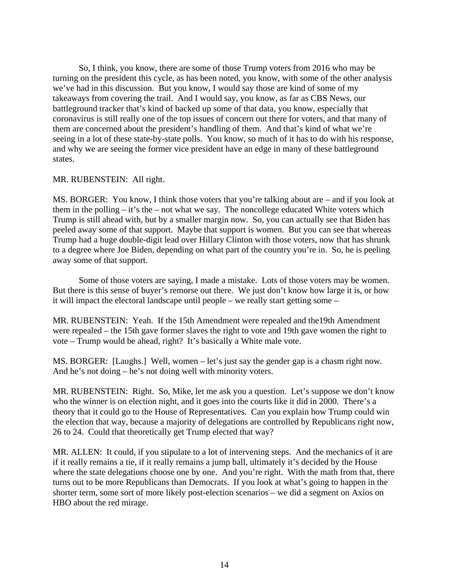So, I think, you know, there are some of those Trump voters from 2016 who may be turning on the president this cycle, as has been noted, you know, with some of the other analysis we've had in this discussion. But you know, I would say those are kind of some of my takeaways from covering the trail. And I would say, you know, as far as CBS News, our battleground tracker that's kind of backed up some of that data, you know, especially that coronavirus is still really one of the top issues of concern out there for voters, and that many of them are concerned about the president's handling of them. And that's kind of what we're seeing in a lot of these state-by-state polls. You know, so much of it has to do with his response, and why we are seeing the former vice president have an edge in many of these battleground states.

#### MR. RUBENSTEIN: All right.

MS. BORGER: You know, I think those voters that you're talking about are – and if you look at them in the polling  $-$  it's the  $-$  not what we say. The noncollege educated White voters which Trump is still ahead with, but by a smaller margin now. So, you can actually see that Biden has peeled away some of that support. Maybe that support is women. But you can see that whereas Trump had a huge double-digit lead over Hillary Clinton with those voters, now that has shrunk to a degree where Joe Biden, depending on what part of the country you're in. So, he is peeling away some of that support.

Some of those voters are saying, I made a mistake. Lots of those voters may be women. But there is this sense of buyer's remorse out there. We just don't know how large it is, or how it will impact the electoral landscape until people – we really start getting some –

MR. RUBENSTEIN: Yeah. If the 15th Amendment were repealed and the19th Amendment were repealed – the 15th gave former slaves the right to vote and 19th gave women the right to vote – Trump would be ahead, right? It's basically a White male vote.

MS. BORGER: [Laughs.] Well, women – let's just say the gender gap is a chasm right now. And he's not doing – he's not doing well with minority voters.

MR. RUBENSTEIN: Right. So, Mike, let me ask you a question. Let's suppose we don't know who the winner is on election night, and it goes into the courts like it did in 2000. There's a theory that it could go to the House of Representatives. Can you explain how Trump could win the election that way, because a majority of delegations are controlled by Republicans right now, 26 to 24. Could that theoretically get Trump elected that way?

MR. ALLEN: It could, if you stipulate to a lot of intervening steps. And the mechanics of it are if it really remains a tie, if it really remains a jump ball, ultimately it's decided by the House where the state delegations choose one by one. And you're right. With the math from that, there turns out to be more Republicans than Democrats. If you look at what's going to happen in the shorter term, some sort of more likely post-election scenarios – we did a segment on Axios on HBO about the red mirage.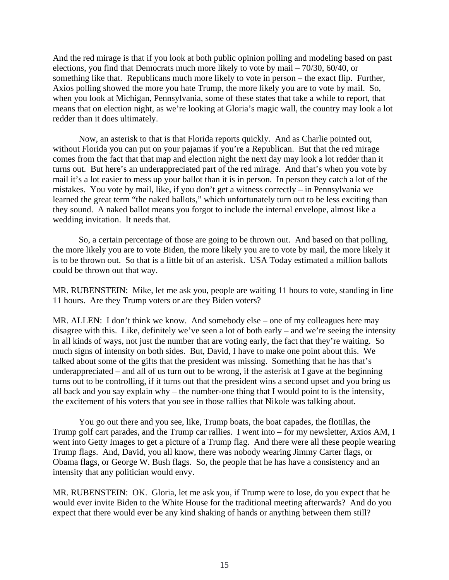And the red mirage is that if you look at both public opinion polling and modeling based on past elections, you find that Democrats much more likely to vote by mail – 70/30, 60/40, or something like that. Republicans much more likely to vote in person – the exact flip. Further, Axios polling showed the more you hate Trump, the more likely you are to vote by mail. So, when you look at Michigan, Pennsylvania, some of these states that take a while to report, that means that on election night, as we're looking at Gloria's magic wall, the country may look a lot redder than it does ultimately.

Now, an asterisk to that is that Florida reports quickly. And as Charlie pointed out, without Florida you can put on your pajamas if you're a Republican. But that the red mirage comes from the fact that that map and election night the next day may look a lot redder than it turns out. But here's an underappreciated part of the red mirage. And that's when you vote by mail it's a lot easier to mess up your ballot than it is in person. In person they catch a lot of the mistakes. You vote by mail, like, if you don't get a witness correctly – in Pennsylvania we learned the great term "the naked ballots," which unfortunately turn out to be less exciting than they sound. A naked ballot means you forgot to include the internal envelope, almost like a wedding invitation. It needs that.

So, a certain percentage of those are going to be thrown out. And based on that polling, the more likely you are to vote Biden, the more likely you are to vote by mail, the more likely it is to be thrown out. So that is a little bit of an asterisk. USA Today estimated a million ballots could be thrown out that way.

MR. RUBENSTEIN: Mike, let me ask you, people are waiting 11 hours to vote, standing in line 11 hours. Are they Trump voters or are they Biden voters?

MR. ALLEN: I don't think we know. And somebody else – one of my colleagues here may disagree with this. Like, definitely we've seen a lot of both early – and we're seeing the intensity in all kinds of ways, not just the number that are voting early, the fact that they're waiting. So much signs of intensity on both sides. But, David, I have to make one point about this. We talked about some of the gifts that the president was missing. Something that he has that's underappreciated – and all of us turn out to be wrong, if the asterisk at I gave at the beginning turns out to be controlling, if it turns out that the president wins a second upset and you bring us all back and you say explain why – the number-one thing that I would point to is the intensity, the excitement of his voters that you see in those rallies that Nikole was talking about.

You go out there and you see, like, Trump boats, the boat capades, the flotillas, the Trump golf cart parades, and the Trump car rallies. I went into – for my newsletter, Axios AM, I went into Getty Images to get a picture of a Trump flag. And there were all these people wearing Trump flags. And, David, you all know, there was nobody wearing Jimmy Carter flags, or Obama flags, or George W. Bush flags. So, the people that he has have a consistency and an intensity that any politician would envy.

MR. RUBENSTEIN: OK. Gloria, let me ask you, if Trump were to lose, do you expect that he would ever invite Biden to the White House for the traditional meeting afterwards? And do you expect that there would ever be any kind shaking of hands or anything between them still?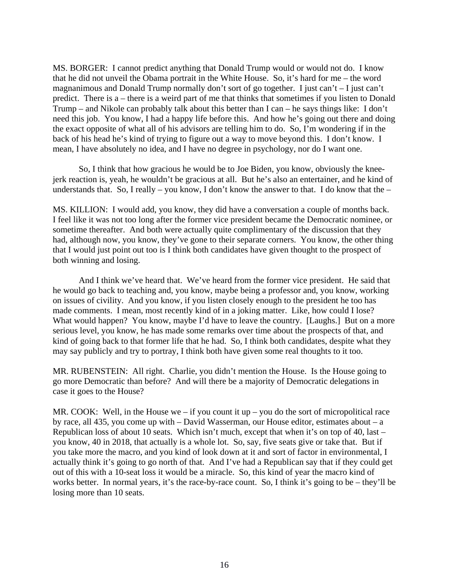MS. BORGER: I cannot predict anything that Donald Trump would or would not do. I know that he did not unveil the Obama portrait in the White House. So, it's hard for me – the word magnanimous and Donald Trump normally don't sort of go together. I just can't – I just can't predict. There is a – there is a weird part of me that thinks that sometimes if you listen to Donald Trump – and Nikole can probably talk about this better than I can – he says things like: I don't need this job. You know, I had a happy life before this. And how he's going out there and doing the exact opposite of what all of his advisors are telling him to do. So, I'm wondering if in the back of his head he's kind of trying to figure out a way to move beyond this. I don't know. I mean, I have absolutely no idea, and I have no degree in psychology, nor do I want one.

So, I think that how gracious he would be to Joe Biden, you know, obviously the kneejerk reaction is, yeah, he wouldn't be gracious at all. But he's also an entertainer, and he kind of understands that. So, I really – you know, I don't know the answer to that. I do know that the –

MS. KILLION: I would add, you know, they did have a conversation a couple of months back. I feel like it was not too long after the former vice president became the Democratic nominee, or sometime thereafter. And both were actually quite complimentary of the discussion that they had, although now, you know, they've gone to their separate corners. You know, the other thing that I would just point out too is I think both candidates have given thought to the prospect of both winning and losing.

And I think we've heard that. We've heard from the former vice president. He said that he would go back to teaching and, you know, maybe being a professor and, you know, working on issues of civility. And you know, if you listen closely enough to the president he too has made comments. I mean, most recently kind of in a joking matter. Like, how could I lose? What would happen? You know, maybe I'd have to leave the country. [Laughs.] But on a more serious level, you know, he has made some remarks over time about the prospects of that, and kind of going back to that former life that he had. So, I think both candidates, despite what they may say publicly and try to portray, I think both have given some real thoughts to it too.

MR. RUBENSTEIN: All right. Charlie, you didn't mention the House. Is the House going to go more Democratic than before? And will there be a majority of Democratic delegations in case it goes to the House?

MR. COOK: Well, in the House we – if you count it up – you do the sort of micropolitical race by race, all 435, you come up with – David Wasserman, our House editor, estimates about – a Republican loss of about 10 seats. Which isn't much, except that when it's on top of 40, last – you know, 40 in 2018, that actually is a whole lot. So, say, five seats give or take that. But if you take more the macro, and you kind of look down at it and sort of factor in environmental, I actually think it's going to go north of that. And I've had a Republican say that if they could get out of this with a 10-seat loss it would be a miracle. So, this kind of year the macro kind of works better. In normal years, it's the race-by-race count. So, I think it's going to be – they'll be losing more than 10 seats.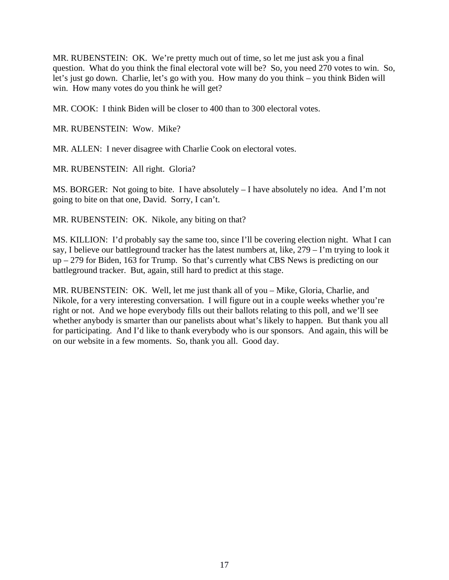MR. RUBENSTEIN: OK. We're pretty much out of time, so let me just ask you a final question. What do you think the final electoral vote will be? So, you need 270 votes to win. So, let's just go down. Charlie, let's go with you. How many do you think – you think Biden will win. How many votes do you think he will get?

MR. COOK: I think Biden will be closer to 400 than to 300 electoral votes.

MR. RUBENSTEIN: Wow. Mike?

MR. ALLEN: I never disagree with Charlie Cook on electoral votes.

MR. RUBENSTEIN: All right. Gloria?

MS. BORGER: Not going to bite. I have absolutely – I have absolutely no idea. And I'm not going to bite on that one, David. Sorry, I can't.

MR. RUBENSTEIN: OK. Nikole, any biting on that?

MS. KILLION: I'd probably say the same too, since I'll be covering election night. What I can say, I believe our battleground tracker has the latest numbers at, like, 279 – I'm trying to look it up – 279 for Biden, 163 for Trump. So that's currently what CBS News is predicting on our battleground tracker. But, again, still hard to predict at this stage.

MR. RUBENSTEIN: OK. Well, let me just thank all of you – Mike, Gloria, Charlie, and Nikole, for a very interesting conversation. I will figure out in a couple weeks whether you're right or not. And we hope everybody fills out their ballots relating to this poll, and we'll see whether anybody is smarter than our panelists about what's likely to happen. But thank you all for participating. And I'd like to thank everybody who is our sponsors. And again, this will be on our website in a few moments. So, thank you all. Good day.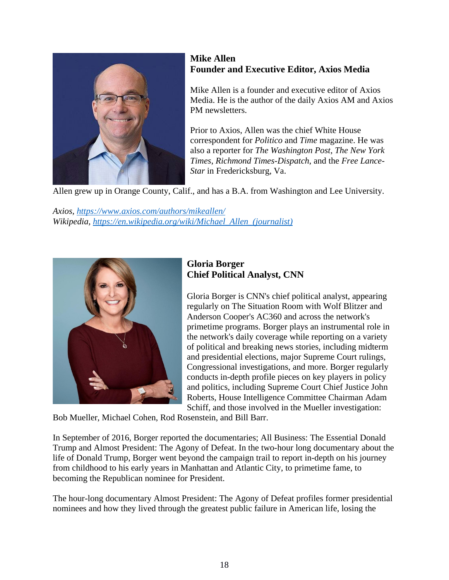

### **Mike Allen Founder and Executive Editor, Axios Media**

Mike Allen is a founder and executive editor of Axios Media. He is the author of the daily Axios AM and Axios PM newsletters.

Prior to Axios, Allen was the chief White House correspondent for *Politico* and *Time* magazine. He was also a reporter for *The Washington Post*, *The New York Times*, *Richmond Times-Dispatch*, and the *Free Lance-Star* in Fredericksburg, Va.

Allen grew up in Orange County, Calif., and has a B.A. from Washington and Lee University.

*Axios,<https://www.axios.com/authors/mikeallen/> Wikipedia, [https://en.wikipedia.org/wiki/Michael\\_Allen\\_\(journalist\)](https://en.wikipedia.org/wiki/Michael_Allen_(journalist))*



# **Gloria Borger Chief Political Analyst, CNN**

Gloria Borger is CNN's chief political analyst, appearing regularly on The Situation Room with Wolf Blitzer and Anderson Cooper's AC360 and across the network's primetime programs. Borger plays an instrumental role in the network's daily coverage while reporting on a variety of political and breaking news stories, including midterm and presidential elections, major Supreme Court rulings, Congressional investigations, and more. Borger regularly conducts in-depth profile pieces on key players in policy and politics, including Supreme Court Chief Justice John Roberts, House Intelligence Committee Chairman Adam Schiff, and those involved in the Mueller investigation:

Bob Mueller, Michael Cohen, Rod Rosenstein, and Bill Barr.

In September of 2016, Borger reported the documentaries; All Business: The Essential Donald Trump and Almost President: The Agony of Defeat. In the two-hour long documentary about the life of Donald Trump, Borger went beyond the campaign trail to report in-depth on his journey from childhood to his early years in Manhattan and Atlantic City, to primetime fame, to becoming the Republican nominee for President.

The hour-long documentary Almost President: The Agony of Defeat profiles former presidential nominees and how they lived through the greatest public failure in American life, losing the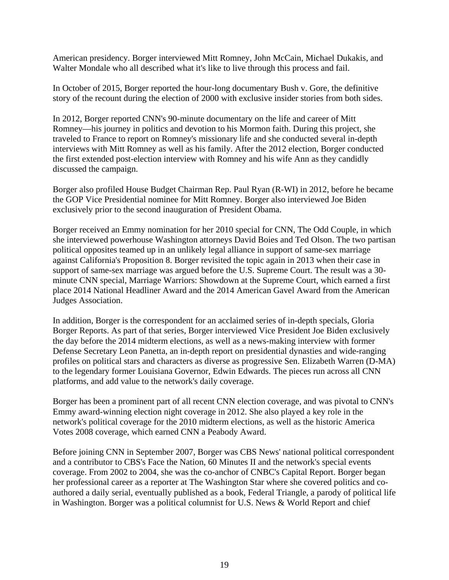American presidency. Borger interviewed Mitt Romney, John McCain, Michael Dukakis, and Walter Mondale who all described what it's like to live through this process and fail.

In October of 2015, Borger reported the hour-long documentary Bush v. Gore, the definitive story of the recount during the election of 2000 with exclusive insider stories from both sides.

In 2012, Borger reported CNN's 90-minute documentary on the life and career of Mitt Romney—his journey in politics and devotion to his Mormon faith. During this project, she traveled to France to report on Romney's missionary life and she conducted several in-depth interviews with Mitt Romney as well as his family. After the 2012 election, Borger conducted the first extended post-election interview with Romney and his wife Ann as they candidly discussed the campaign.

Borger also profiled House Budget Chairman Rep. Paul Ryan (R-WI) in 2012, before he became the GOP Vice Presidential nominee for Mitt Romney. Borger also interviewed Joe Biden exclusively prior to the second inauguration of President Obama.

Borger received an Emmy nomination for her 2010 special for CNN, The Odd Couple, in which she interviewed powerhouse Washington attorneys David Boies and Ted Olson. The two partisan political opposites teamed up in an unlikely legal alliance in support of same-sex marriage against California's Proposition 8. Borger revisited the topic again in 2013 when their case in support of same-sex marriage was argued before the U.S. Supreme Court. The result was a 30 minute CNN special, Marriage Warriors: Showdown at the Supreme Court, which earned a first place 2014 National Headliner Award and the 2014 American Gavel Award from the American Judges Association.

In addition, Borger is the correspondent for an acclaimed series of in-depth specials, Gloria Borger Reports. As part of that series, Borger interviewed Vice President Joe Biden exclusively the day before the 2014 midterm elections, as well as a news-making interview with former Defense Secretary Leon Panetta, an in-depth report on presidential dynasties and wide-ranging profiles on political stars and characters as diverse as progressive Sen. Elizabeth Warren (D-MA) to the legendary former Louisiana Governor, Edwin Edwards. The pieces run across all CNN platforms, and add value to the network's daily coverage.

Borger has been a prominent part of all recent CNN election coverage, and was pivotal to CNN's Emmy award-winning election night coverage in 2012. She also played a key role in the network's political coverage for the 2010 midterm elections, as well as the historic America Votes 2008 coverage, which earned CNN a Peabody Award.

Before joining CNN in September 2007, Borger was CBS News' national political correspondent and a contributor to CBS's Face the Nation, 60 Minutes II and the network's special events coverage. From 2002 to 2004, she was the co-anchor of CNBC's Capital Report. Borger began her professional career as a reporter at The Washington Star where she covered politics and coauthored a daily serial, eventually published as a book, Federal Triangle, a parody of political life in Washington. Borger was a political columnist for U.S. News & World Report and chief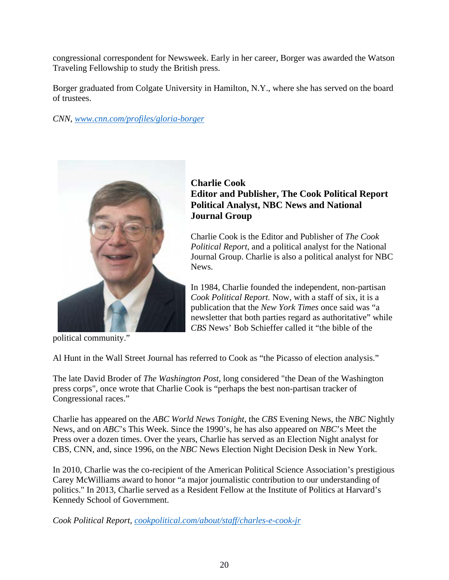congressional correspondent for Newsweek. Early in her career, Borger was awarded the Watson Traveling Fellowship to study the British press.

Borger graduated from Colgate University in Hamilton, N.Y., where she has served on the board of trustees.

*CNN, [www.cnn.com/profiles/gloria-borger](http://www.cnn.com/profiles/gloria-borger)*



political community."

# **Charlie Cook Editor and Publisher, The Cook Political Report Political Analyst, NBC News and National Journal Group**

Charlie Cook is the Editor and Publisher of *The Cook Political Report*, and a political analyst for the National Journal Group. Charlie is also a political analyst for NBC News.

In 1984, Charlie founded the independent, non-partisan *Cook Political Report.* Now, with a staff of six, it is a publication that the *New York Times* once said was "a newsletter that both parties regard as authoritative" while *CBS* News' Bob Schieffer called it "the bible of the

Al Hunt in the Wall Street Journal has referred to Cook as "the Picasso of election analysis."

The late David Broder of *The Washington Post*, long considered "the Dean of the Washington press corps", once wrote that Charlie Cook is "perhaps the best non-partisan tracker of Congressional races."

Charlie has appeared on the *ABC World News Tonight*, the *CBS* Evening News, the *NBC* Nightly News, and on *ABC*'s This Week. Since the 1990's, he has also appeared on *NBC*'s Meet the Press over a dozen times. Over the years, Charlie has served as an Election Night analyst for CBS, CNN, and, since 1996, on the *NBC* News Election Night Decision Desk in New York.

In 2010, Charlie was the co-recipient of the American Political Science Association's prestigious Carey McWilliams award to honor "a major journalistic contribution to our understanding of politics." In 2013, Charlie served as a Resident Fellow at the Institute of Politics at Harvard's Kennedy School of Government.

*Cook Political Report, [cookpolitical.com/about/staff/charles-e-cook-jr](https://cookpolitical.com/about/staff/charles-e-cook-jr)*